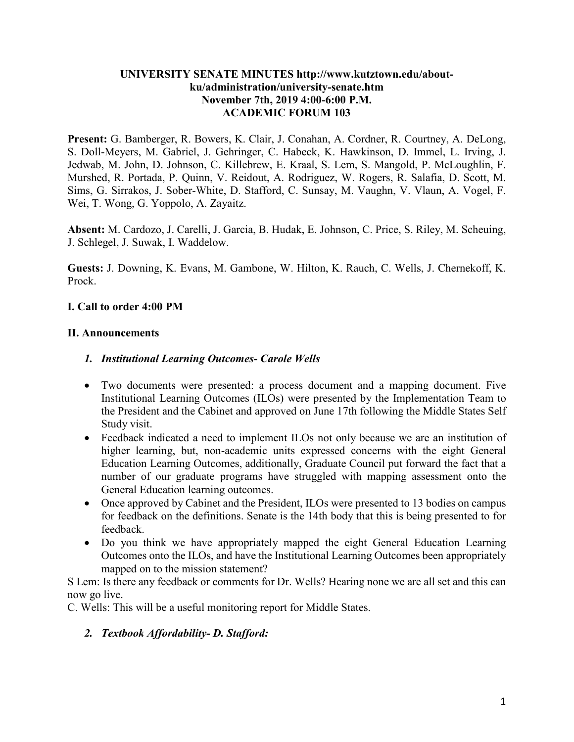#### **UNIVERSITY SENATE MINUTES http://www.kutztown.edu/aboutku/administration/university-senate.htm November 7th, 2019 4:00-6:00 P.M. ACADEMIC FORUM 103**

**Present:** G. Bamberger, R. Bowers, K. Clair, J. Conahan, A. Cordner, R. Courtney, A. DeLong, S. Doll-Meyers, M. Gabriel, J. Gehringer, C. Habeck, K. Hawkinson, D. Immel, L. Irving, J. Jedwab, M. John, D. Johnson, C. Killebrew, E. Kraal, S. Lem, S. Mangold, P. McLoughlin, F. Murshed, R. Portada, P. Quinn, V. Reidout, A. Rodriguez, W. Rogers, R. Salafia, D. Scott, M. Sims, G. Sirrakos, J. Sober-White, D. Stafford, C. Sunsay, M. Vaughn, V. Vlaun, A. Vogel, F. Wei, T. Wong, G. Yoppolo, A. Zayaitz.

**Absent:** M. Cardozo, J. Carelli, J. Garcia, B. Hudak, E. Johnson, C. Price, S. Riley, M. Scheuing, J. Schlegel, J. Suwak, I. Waddelow.

**Guests:** J. Downing, K. Evans, M. Gambone, W. Hilton, K. Rauch, C. Wells, J. Chernekoff, K. Prock.

### **I. Call to order 4:00 PM**

### **II. Announcements**

### *1. Institutional Learning Outcomes- Carole Wells*

- Two documents were presented: a process document and a mapping document. Five Institutional Learning Outcomes (ILOs) were presented by the Implementation Team to the President and the Cabinet and approved on June 17th following the Middle States Self Study visit.
- Feedback indicated a need to implement ILOs not only because we are an institution of higher learning, but, non-academic units expressed concerns with the eight General Education Learning Outcomes, additionally, Graduate Council put forward the fact that a number of our graduate programs have struggled with mapping assessment onto the General Education learning outcomes.
- Once approved by Cabinet and the President, ILOs were presented to 13 bodies on campus for feedback on the definitions. Senate is the 14th body that this is being presented to for feedback.
- Do you think we have appropriately mapped the eight General Education Learning Outcomes onto the ILOs, and have the Institutional Learning Outcomes been appropriately mapped on to the mission statement?

S Lem: Is there any feedback or comments for Dr. Wells? Hearing none we are all set and this can now go live.

C. Wells: This will be a useful monitoring report for Middle States.

### *2. Textbook Affordability- D. Stafford:*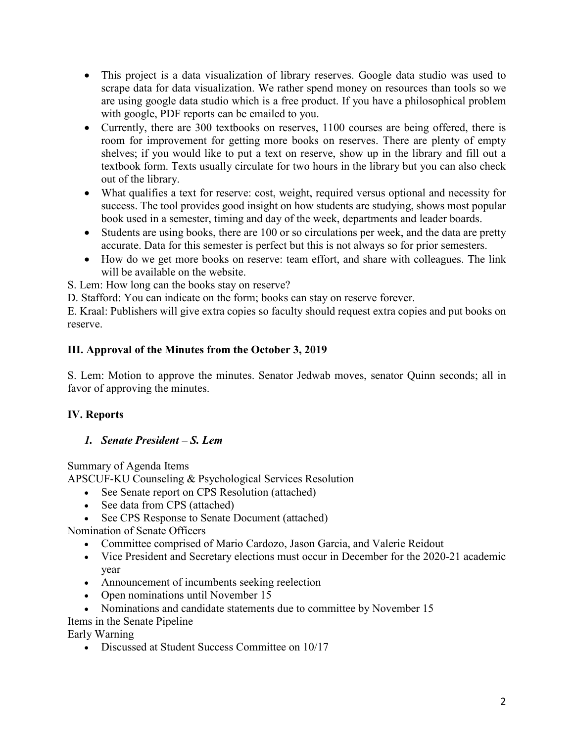- This project is a data visualization of library reserves. Google data studio was used to scrape data for data visualization. We rather spend money on resources than tools so we are using google data studio which is a free product. If you have a philosophical problem with google, PDF reports can be emailed to you.
- Currently, there are 300 textbooks on reserves, 1100 courses are being offered, there is room for improvement for getting more books on reserves. There are plenty of empty shelves; if you would like to put a text on reserve, show up in the library and fill out a textbook form. Texts usually circulate for two hours in the library but you can also check out of the library.
- What qualifies a text for reserve: cost, weight, required versus optional and necessity for success. The tool provides good insight on how students are studying, shows most popular book used in a semester, timing and day of the week, departments and leader boards.
- Students are using books, there are 100 or so circulations per week, and the data are pretty accurate. Data for this semester is perfect but this is not always so for prior semesters.
- How do we get more books on reserve: team effort, and share with colleagues. The link will be available on the website.

S. Lem: How long can the books stay on reserve?

D. Stafford: You can indicate on the form; books can stay on reserve forever.

E. Kraal: Publishers will give extra copies so faculty should request extra copies and put books on reserve.

### **III. Approval of the Minutes from the October 3, 2019**

S. Lem: Motion to approve the minutes. Senator Jedwab moves, senator Quinn seconds; all in favor of approving the minutes.

## **IV. Reports**

## *1. Senate President – S. Lem*

Summary of Agenda Items

APSCUF-KU Counseling & Psychological Services Resolution

- See Senate report on CPS Resolution (attached)
- See data from CPS (attached)
- See CPS Response to Senate Document (attached)

Nomination of Senate Officers

- Committee comprised of Mario Cardozo, Jason Garcia, and Valerie Reidout
- Vice President and Secretary elections must occur in December for the 2020-21 academic year
- Announcement of incumbents seeking reelection
- Open nominations until November 15
- Nominations and candidate statements due to committee by November 15

Items in the Senate Pipeline

Early Warning

• Discussed at Student Success Committee on 10/17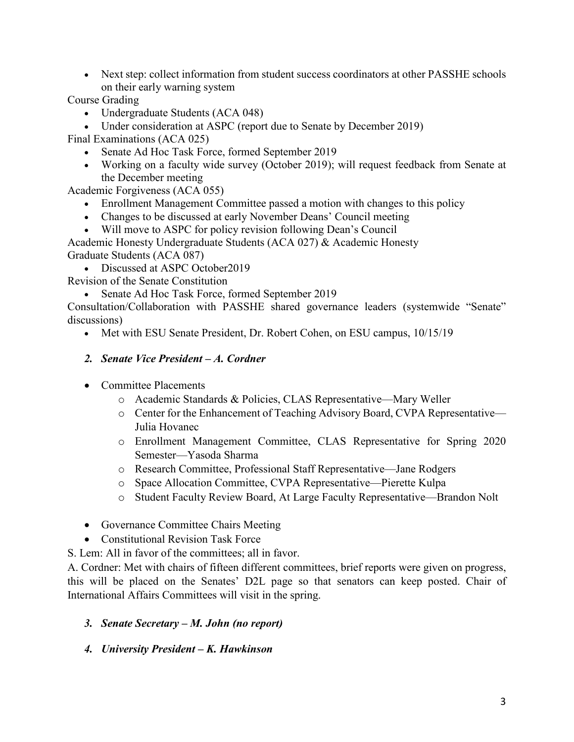• Next step: collect information from student success coordinators at other PASSHE schools on their early warning system

Course Grading

- Undergraduate Students (ACA 048)
- Under consideration at ASPC (report due to Senate by December 2019)

Final Examinations (ACA 025)

- Senate Ad Hoc Task Force, formed September 2019
- Working on a faculty wide survey (October 2019); will request feedback from Senate at the December meeting

Academic Forgiveness (ACA 055)

- Enrollment Management Committee passed a motion with changes to this policy
- Changes to be discussed at early November Deans' Council meeting
- Will move to ASPC for policy revision following Dean's Council

Academic Honesty Undergraduate Students (ACA 027) & Academic Honesty Graduate Students (ACA 087)

• Discussed at ASPC October 2019

Revision of the Senate Constitution

• Senate Ad Hoc Task Force, formed September 2019

Consultation/Collaboration with PASSHE shared governance leaders (systemwide "Senate" discussions)

• Met with ESU Senate President, Dr. Robert Cohen, on ESU campus, 10/15/19

### *2. Senate Vice President – A. Cordner*

- Committee Placements
	- o Academic Standards & Policies, CLAS Representative—Mary Weller
	- o Center for the Enhancement of Teaching Advisory Board, CVPA Representative— Julia Hovanec
	- o Enrollment Management Committee, CLAS Representative for Spring 2020 Semester—Yasoda Sharma
	- o Research Committee, Professional Staff Representative—Jane Rodgers
	- o Space Allocation Committee, CVPA Representative—Pierette Kulpa
	- o Student Faculty Review Board, At Large Faculty Representative—Brandon Nolt
- Governance Committee Chairs Meeting
- Constitutional Revision Task Force

S. Lem: All in favor of the committees; all in favor.

A. Cordner: Met with chairs of fifteen different committees, brief reports were given on progress, this will be placed on the Senates' D2L page so that senators can keep posted. Chair of International Affairs Committees will visit in the spring.

- *3. Senate Secretary – M. John (no report)*
- *4. University President – K. Hawkinson*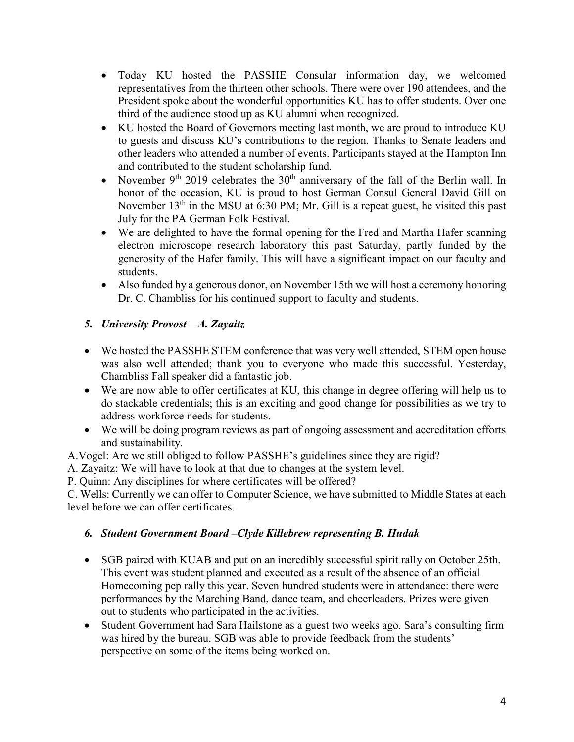- Today KU hosted the PASSHE Consular information day, we welcomed representatives from the thirteen other schools. There were over 190 attendees, and the President spoke about the wonderful opportunities KU has to offer students. Over one third of the audience stood up as KU alumni when recognized.
- KU hosted the Board of Governors meeting last month, we are proud to introduce KU to guests and discuss KU's contributions to the region. Thanks to Senate leaders and other leaders who attended a number of events. Participants stayed at the Hampton Inn and contributed to the student scholarship fund.
- November 9<sup>th</sup> 2019 celebrates the 30<sup>th</sup> anniversary of the fall of the Berlin wall. In honor of the occasion, KU is proud to host German Consul General David Gill on November 13<sup>th</sup> in the MSU at 6:30 PM; Mr. Gill is a repeat guest, he visited this past July for the PA German Folk Festival.
- We are delighted to have the formal opening for the Fred and Martha Hafer scanning electron microscope research laboratory this past Saturday, partly funded by the generosity of the Hafer family. This will have a significant impact on our faculty and students.
- Also funded by a generous donor, on November 15th we will host a ceremony honoring Dr. C. Chambliss for his continued support to faculty and students.

## *5. University Provost – A. Zayaitz*

- We hosted the PASSHE STEM conference that was very well attended, STEM open house was also well attended; thank you to everyone who made this successful. Yesterday, Chambliss Fall speaker did a fantastic job.
- We are now able to offer certificates at KU, this change in degree offering will help us to do stackable credentials; this is an exciting and good change for possibilities as we try to address workforce needs for students.
- We will be doing program reviews as part of ongoing assessment and accreditation efforts and sustainability.

A.Vogel: Are we still obliged to follow PASSHE's guidelines since they are rigid?

A. Zayaitz: We will have to look at that due to changes at the system level.

P. Quinn: Any disciplines for where certificates will be offered?

C. Wells: Currently we can offer to Computer Science, we have submitted to Middle States at each level before we can offer certificates.

## *6. Student Government Board –Clyde Killebrew representing B. Hudak*

- SGB paired with KUAB and put on an incredibly successful spirit rally on October 25th. This event was student planned and executed as a result of the absence of an official Homecoming pep rally this year. Seven hundred students were in attendance: there were performances by the Marching Band, dance team, and cheerleaders. Prizes were given out to students who participated in the activities.
- Student Government had Sara Hailstone as a guest two weeks ago. Sara's consulting firm was hired by the bureau. SGB was able to provide feedback from the students' perspective on some of the items being worked on.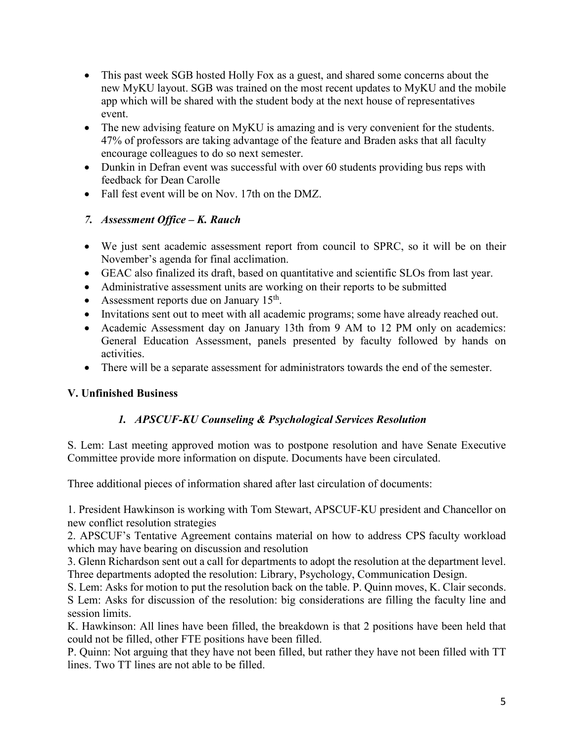- This past week SGB hosted Holly Fox as a guest, and shared some concerns about the new MyKU layout. SGB was trained on the most recent updates to MyKU and the mobile app which will be shared with the student body at the next house of representatives event.
- The new advising feature on MyKU is amazing and is very convenient for the students. 47% of professors are taking advantage of the feature and Braden asks that all faculty encourage colleagues to do so next semester.
- Dunkin in Defran event was successful with over 60 students providing bus reps with feedback for Dean Carolle
- Fall fest event will be on Nov. 17th on the DMZ.

## *7. Assessment Office – K. Rauch*

- We just sent academic assessment report from council to SPRC, so it will be on their November's agenda for final acclimation.
- GEAC also finalized its draft, based on quantitative and scientific SLOs from last year.
- Administrative assessment units are working on their reports to be submitted
- Assessment reports due on January  $15^{th}$ .
- Invitations sent out to meet with all academic programs; some have already reached out.
- Academic Assessment day on January 13th from 9 AM to 12 PM only on academics: General Education Assessment, panels presented by faculty followed by hands on activities.
- There will be a separate assessment for administrators towards the end of the semester.

## **V. Unfinished Business**

# *1. APSCUF-KU Counseling & Psychological Services Resolution*

S. Lem: Last meeting approved motion was to postpone resolution and have Senate Executive Committee provide more information on dispute. Documents have been circulated.

Three additional pieces of information shared after last circulation of documents:

1. President Hawkinson is working with Tom Stewart, APSCUF-KU president and Chancellor on new conflict resolution strategies

2. APSCUF's Tentative Agreement contains material on how to address CPS faculty workload which may have bearing on discussion and resolution

3. Glenn Richardson sent out a call for departments to adopt the resolution at the department level. Three departments adopted the resolution: Library, Psychology, Communication Design.

S. Lem: Asks for motion to put the resolution back on the table. P. Quinn moves, K. Clair seconds. S Lem: Asks for discussion of the resolution: big considerations are filling the faculty line and session limits.

K. Hawkinson: All lines have been filled, the breakdown is that 2 positions have been held that could not be filled, other FTE positions have been filled.

P. Quinn: Not arguing that they have not been filled, but rather they have not been filled with TT lines. Two TT lines are not able to be filled.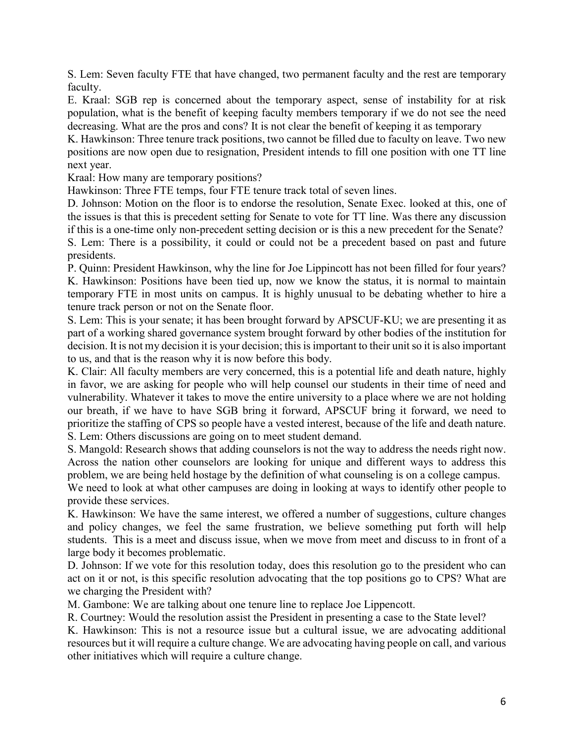S. Lem: Seven faculty FTE that have changed, two permanent faculty and the rest are temporary faculty.

E. Kraal: SGB rep is concerned about the temporary aspect, sense of instability for at risk population, what is the benefit of keeping faculty members temporary if we do not see the need decreasing. What are the pros and cons? It is not clear the benefit of keeping it as temporary

K. Hawkinson: Three tenure track positions, two cannot be filled due to faculty on leave. Two new positions are now open due to resignation, President intends to fill one position with one TT line next year.

Kraal: How many are temporary positions?

Hawkinson: Three FTE temps, four FTE tenure track total of seven lines.

D. Johnson: Motion on the floor is to endorse the resolution, Senate Exec. looked at this, one of the issues is that this is precedent setting for Senate to vote for TT line. Was there any discussion if this is a one-time only non-precedent setting decision or is this a new precedent for the Senate? S. Lem: There is a possibility, it could or could not be a precedent based on past and future presidents.

P. Quinn: President Hawkinson, why the line for Joe Lippincott has not been filled for four years? K. Hawkinson: Positions have been tied up, now we know the status, it is normal to maintain temporary FTE in most units on campus. It is highly unusual to be debating whether to hire a tenure track person or not on the Senate floor.

S. Lem: This is your senate; it has been brought forward by APSCUF-KU; we are presenting it as part of a working shared governance system brought forward by other bodies of the institution for decision. It is not my decision it is your decision; this is important to their unit so it is also important to us, and that is the reason why it is now before this body.

K. Clair: All faculty members are very concerned, this is a potential life and death nature, highly in favor, we are asking for people who will help counsel our students in their time of need and vulnerability. Whatever it takes to move the entire university to a place where we are not holding our breath, if we have to have SGB bring it forward, APSCUF bring it forward, we need to prioritize the staffing of CPS so people have a vested interest, because of the life and death nature. S. Lem: Others discussions are going on to meet student demand.

S. Mangold: Research shows that adding counselors is not the way to address the needs right now. Across the nation other counselors are looking for unique and different ways to address this problem, we are being held hostage by the definition of what counseling is on a college campus.

We need to look at what other campuses are doing in looking at ways to identify other people to provide these services.

K. Hawkinson: We have the same interest, we offered a number of suggestions, culture changes and policy changes, we feel the same frustration, we believe something put forth will help students. This is a meet and discuss issue, when we move from meet and discuss to in front of a large body it becomes problematic.

D. Johnson: If we vote for this resolution today, does this resolution go to the president who can act on it or not, is this specific resolution advocating that the top positions go to CPS? What are we charging the President with?

M. Gambone: We are talking about one tenure line to replace Joe Lippencott.

R. Courtney: Would the resolution assist the President in presenting a case to the State level?

K. Hawkinson: This is not a resource issue but a cultural issue, we are advocating additional resources but it will require a culture change. We are advocating having people on call, and various other initiatives which will require a culture change.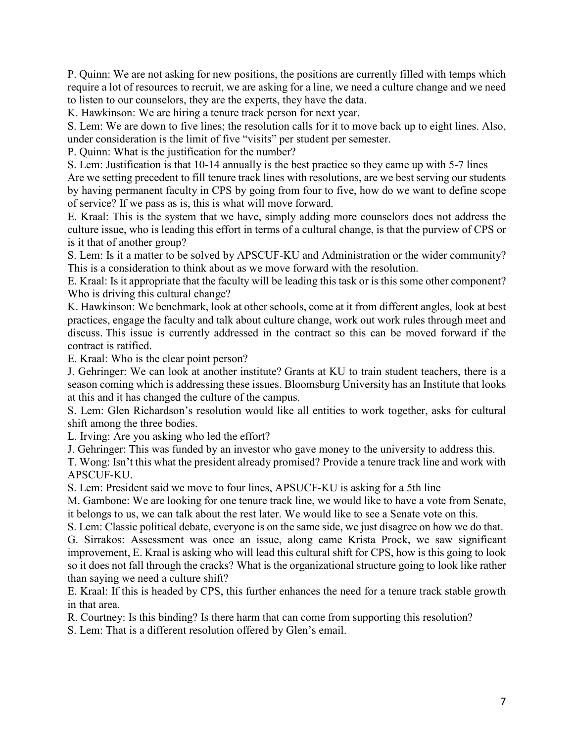P. Quinn: We are not asking for new positions, the positions are currently filled with temps which require a lot of resources to recruit, we are asking for a line, we need a culture change and we need to listen to our counselors, they are the experts, they have the data.

K. Hawkinson: We are hiring a tenure track person for next year.

S. Lem: We are down to five lines; the resolution calls for it to move back up to eight lines. Also, under consideration is the limit of five "visits" per student per semester.

P. Quinn: What is the justification for the number?

S. Lem: Justification is that 10-14 annually is the best practice so they came up with 5-7 lines Are we setting precedent to fill tenure track lines with resolutions, are we best serving our students by having permanent faculty in CPS by going from four to five, how do we want to define scope of service? If we pass as is, this is what will move forward.

E. Kraal: This is the system that we have, simply adding more counselors does not address the culture issue, who is leading this effort in terms of a cultural change, is that the purview of CPS or is it that of another group?

S. Lem: Is it a matter to be solved by APSCUF-KU and Administration or the wider community? This is a consideration to think about as we move forward with the resolution.

E. Kraal: Is it appropriate that the faculty will be leading this task or is this some other component? Who is driving this cultural change?

K. Hawkinson: We benchmark, look at other schools, come at it from different angles, look at best practices, engage the faculty and talk about culture change, work out work rules through meet and discuss. This issue is currently addressed in the contract so this can be moved forward if the contract is ratified.

E. Kraal: Who is the clear point person?

J. Gehringer: We can look at another institute? Grants at KU to train student teachers, there is a season coming which is addressing these issues. Bloomsburg University has an Institute that looks at this and it has changed the culture of the campus.

S. Lem: Glen Richardson's resolution would like all entities to work together, asks for cultural shift among the three bodies.

L. Irving: Are you asking who led the effort?

J. Gehringer: This was funded by an investor who gave money to the university to address this.

T. Wong: Isn't this what the president already promised? Provide a tenure track line and work with APSCUF-KU.

S. Lem: President said we move to four lines, APSUCF-KU is asking for a 5th line

M. Gambone: We are looking for one tenure track line, we would like to have a vote from Senate, it belongs to us, we can talk about the rest later. We would like to see a Senate vote on this.

S. Lem: Classic political debate, everyone is on the same side, we just disagree on how we do that.

G. Sirrakos: Assessment was once an issue, along came Krista Prock, we saw significant improvement, E. Kraal is asking who will lead this cultural shift for CPS, how is this going to look so it does not fall through the cracks? What is the organizational structure going to look like rather than saying we need a culture shift?

E. Kraal: If this is headed by CPS, this further enhances the need for a tenure track stable growth in that area.

R. Courtney: Is this binding? Is there harm that can come from supporting this resolution?

S. Lem: That is a different resolution offered by Glen's email.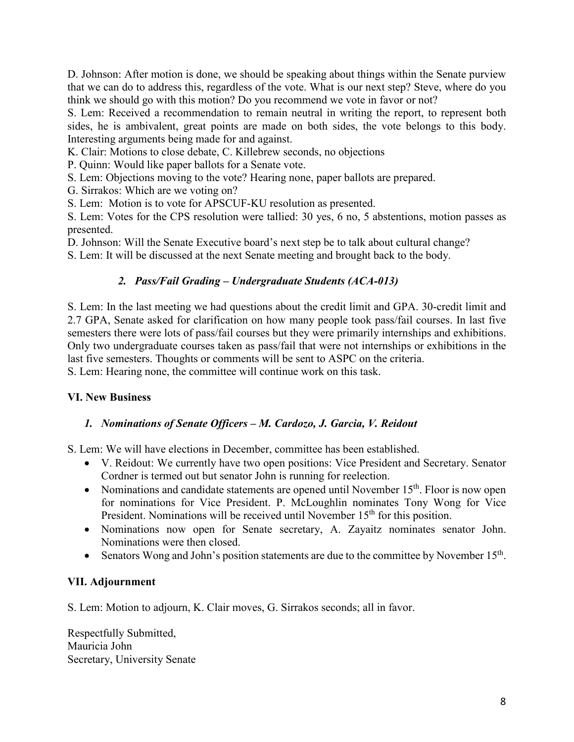D. Johnson: After motion is done, we should be speaking about things within the Senate purview that we can do to address this, regardless of the vote. What is our next step? Steve, where do you think we should go with this motion? Do you recommend we vote in favor or not?

S. Lem: Received a recommendation to remain neutral in writing the report, to represent both sides, he is ambivalent, great points are made on both sides, the vote belongs to this body. Interesting arguments being made for and against.

K. Clair: Motions to close debate, C. Killebrew seconds, no objections

P. Quinn: Would like paper ballots for a Senate vote.

S. Lem: Objections moving to the vote? Hearing none, paper ballots are prepared.

G. Sirrakos: Which are we voting on?

S. Lem: Motion is to vote for APSCUF-KU resolution as presented.

S. Lem: Votes for the CPS resolution were tallied: 30 yes, 6 no, 5 abstentions, motion passes as presented.

D. Johnson: Will the Senate Executive board's next step be to talk about cultural change?

S. Lem: It will be discussed at the next Senate meeting and brought back to the body.

### *2. Pass/Fail Grading – Undergraduate Students (ACA-013)*

S. Lem: In the last meeting we had questions about the credit limit and GPA. 30-credit limit and 2.7 GPA, Senate asked for clarification on how many people took pass/fail courses. In last five semesters there were lots of pass/fail courses but they were primarily internships and exhibitions. Only two undergraduate courses taken as pass/fail that were not internships or exhibitions in the last five semesters. Thoughts or comments will be sent to ASPC on the criteria.

S. Lem: Hearing none, the committee will continue work on this task.

### **VI. New Business**

### *1. Nominations of Senate Officers – M. Cardozo, J. Garcia, V. Reidout*

S. Lem: We will have elections in December, committee has been established.

- V. Reidout: We currently have two open positions: Vice President and Secretary. Senator Cordner is termed out but senator John is running for reelection.
- Nominations and candidate statements are opened until November  $15<sup>th</sup>$ . Floor is now open for nominations for Vice President. P. McLoughlin nominates Tony Wong for Vice President. Nominations will be received until November 15<sup>th</sup> for this position.
- Nominations now open for Senate secretary, A. Zayaitz nominates senator John. Nominations were then closed.
- Senators Wong and John's position statements are due to the committee by November  $15<sup>th</sup>$ .

#### **VII. Adjournment**

S. Lem: Motion to adjourn, K. Clair moves, G. Sirrakos seconds; all in favor.

Respectfully Submitted, Mauricia John Secretary, University Senate